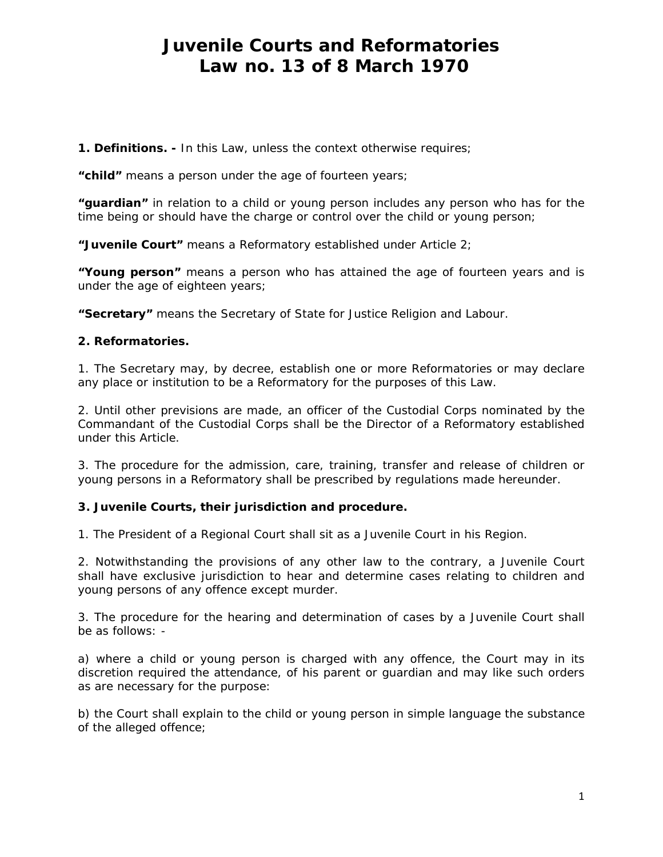# *Juvenile Courts and Reformatories Law no. 13 of 8 March 1970*

*1. Definitions. - In this Law, unless the context otherwise requires;* 

*"child" means a person under the age of fourteen years;* 

*"guardian" in relation to a child or young person includes any person who has for the time being or should have the charge or control over the child or young person;* 

*"Juvenile Court" means a Reformatory established under Article 2;* 

*"Young person" means a person who has attained the age of fourteen years and is under the age of eighteen years;* 

*"Secretary" means the Secretary of State for Justice Religion and Labour.* 

#### *2. Reformatories.*

*1. The Secretary may, by decree, establish one or more Reformatories or may declare any place or institution to be a Reformatory for the purposes of this Law.* 

*2. Until other previsions are made, an officer of the Custodial Corps nominated by the Commandant of the Custodial Corps shall be the Director of a Reformatory established under this Article.* 

*3. The procedure for the admission, care, training, transfer and release of children or young persons in a Reformatory shall be prescribed by regulations made hereunder.* 

#### *3. Juvenile Courts, their jurisdiction and procedure.*

*1. The President of a Regional Court shall sit as a Juvenile Court in his Region.* 

*2. Notwithstanding the provisions of any other law to the contrary, a Juvenile Court shall have exclusive jurisdiction to hear and determine cases relating to children and young persons of any offence except murder.* 

*3. The procedure for the hearing and determination of cases by a Juvenile Court shall be as follows: -* 

a) where a child or young person is charged with any offence, the Court may in its *discretion required the attendance, of his parent or guardian and may like such orders as are necessary for the purpose:* 

*b) the Court shall explain to the child or young person in simple language the substance of the alleged offence;*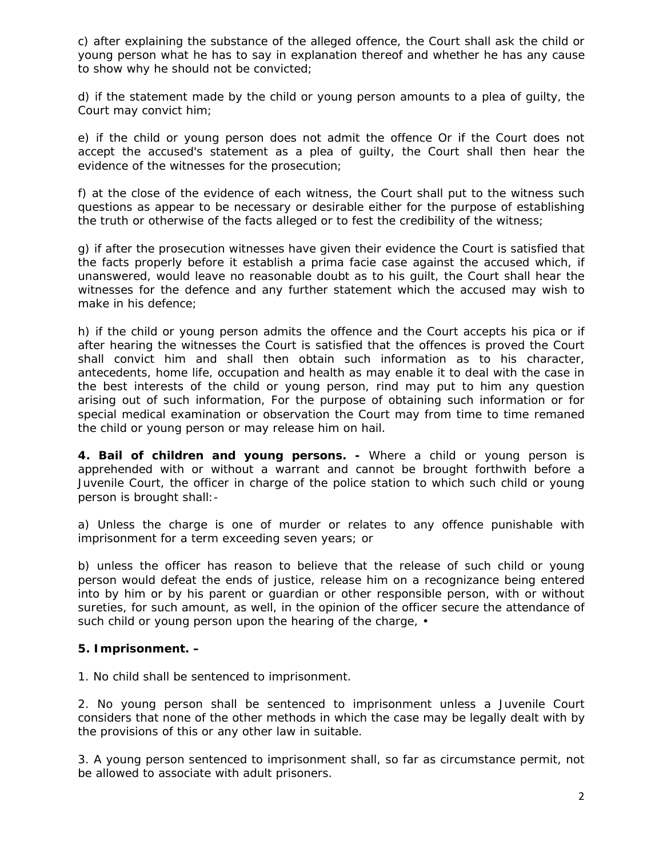*c) after explaining the substance of the alleged offence, the Court shall ask the child or young person what he has to say in explanation thereof and whether he has any cause to show why he should not be convicted;* 

*d) if the statement made by the child or young person amounts to a plea of guilty, the Court may convict him;* 

e) if the child or young person does not admit the offence Or if the Court does not *accept the accused's statement as a plea of guilty, the Court shall then hear the evidence of the witnesses for the prosecution;* 

*f) at the close of the evidence of each witness, the Court shall put to the witness such questions as appear to be necessary or desirable either for the purpose of establishing the truth or otherwise of the facts alleged or to fest the credibility of the witness;* 

*g) if after the prosecution witnesses have given their evidence the Court is satisfied that the facts properly before it establish a prima facie case against the accused which, if unanswered, would leave no reasonable doubt as to his guilt, the Court shall hear the witnesses for the defence and any further statement which the accused may wish to make in his defence;* 

*h) if the child or young person admits the offence and the Court accepts his pica or if after hearing the witnesses the Court is satisfied that the offences is proved the Court shall convict him and shall then obtain such information as to his character, antecedents, home life, occupation and health as may enable it to deal with the case in the best interests of the child or young person, rind may put to him any question arising out of such information, For the purpose of obtaining such information or for special medical examination or observation the Court may from time to time remaned the child or young person or may release him on hail.* 

*4. Bail of children and young persons. - Where a child or young person is apprehended with or without a warrant and cannot be brought forthwith before a Juvenile Court, the officer in charge of the police station to which such child or young person is brought shall:-* 

*a) Unless the charge is one of murder or relates to any offence punishable with imprisonment for a term exceeding seven years; or* 

*b) unless the officer has reason to believe that the release of such child or young person would defeat the ends of justice, release him on a recognizance being entered*  into by him or by his parent or guardian or other responsible person, with or without *sureties, for such amount, as well, in the opinion of the officer secure the attendance of such child or young person upon the hearing of the charge, •* 

# *5. Imprisonment. –*

*1. No child shall be sentenced to imprisonment.* 

*2. No young person shall be sentenced to imprisonment unless a Juvenile Court considers that none of the other methods in which the case may be legally dealt with by the provisions of this or any other law in suitable.* 

*3. A young person sentenced to imprisonment shall, so far as circumstance permit, not be allowed to associate with adult prisoners.*